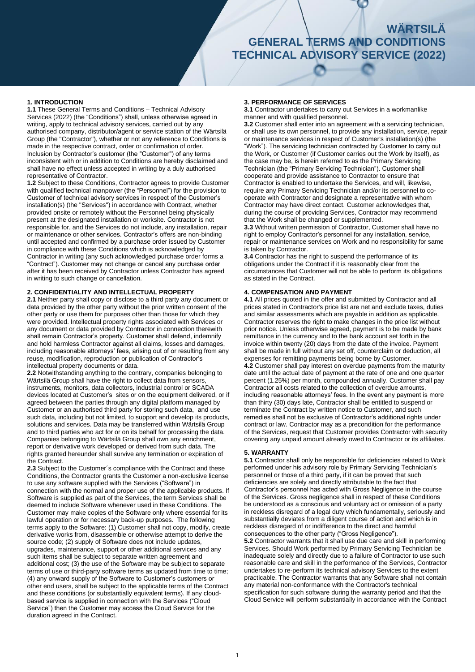# **WÄRTSILÄ WÄRTSILÄ GENERAL TERMS AND CONDITIONS GENERAL TERMS AND CONDITIONS PARTS (2015) TECHNICAL ADVISORY SERVICE (2022)**

# **1. INTRODUCTION**

**1.1** These General Terms and Conditions – Technical Advisory Services (2022) (the "Conditions") shall, unless otherwise agreed in writing, apply to technical advisory services, carried out by any authorised company, distributor/agent or service station of the Wärtsilä Group (the "Contractor"), whether or not any reference to Conditions is made in the respective contract, order or confirmation of order. Inclusion by Contractor's customer (the "Customer") of any terms inconsistent with or in addition to Conditions are hereby disclaimed and shall have no effect unless accepted in writing by a duly authorised representative of Contractor.

**1.2** Subject to these Conditions, Contractor agrees to provide Customer with qualified technical manpower (the "Personnel") for the provision to Customer of technical advisory services in respect of the Customer's installation(s) (the "Services") in accordance with Contract, whether provided onsite or remotely without the Personnel being physically present at the designated installation or worksite. Contractor is not responsible for, and the Services do not include, any installation, repair or maintenance or other services. Contractor's offers are non-binding until accepted and confirmed by a purchase order issued by Customer in compliance with these Conditions which is acknowledged by Contractor in writing (any such acknowledged purchase order forms a "Contract"). Customer may not change or cancel any purchase order after it has been received by Contractor unless Contractor has agreed in writing to such change or cancellation.

# **2. CONFIDENTIALITY AND INTELLECTUAL PROPERTY**

**2.1** Neither party shall copy or disclose to a third party any document or data provided by the other party without the prior written consent of the other party or use them for purposes other than those for which they were provided. Intellectual property rights associated with Services or any document or data provided by Contractor in connection therewith shall remain Contractor's property. Customer shall defend, indemnify and hold harmless Contractor against all claims, losses and damages, including reasonable attorneys' fees, arising out of or resulting from any reuse, modification, reproduction or publication of Contractor's intellectual property documents or data.

**2.2** Notwithstanding anything to the contrary, companies belonging to Wärtsilä Group shall have the right to collect data from sensors, instruments, monitors, data collectors, industrial control or SCADA devices located at Customer's sites or on the equipment delivered, or if agreed between the parties through any digital platform managed by Customer or an authorised third party for storing such data, and use such data, including but not limited, to support and develop its products, solutions and services. Data may be transferred within Wärtsilä Group and to third parties who act for or on its behalf for processing the data. Companies belonging to Wärtsilä Group shall own any enrichment, report or derivative work developed or derived from such data. The rights granted hereunder shall survive any termination or expiration of the Contract.

**2.3** Subject to the Customer´s compliance with the Contract and these Conditions, the Contractor grants the Customer a non-exclusive license to use any software supplied with the Services ("Software") in connection with the normal and proper use of the applicable products. If Software is supplied as part of the Services, the term Services shall be deemed to include Software whenever used in these Conditions. The Customer may make copies of the Software only where essential for its lawful operation or for necessary back-up purposes. The following terms apply to the Software: (1) Customer shall not copy, modify, create derivative works from, disassemble or otherwise attempt to derive the source code; (2) supply of Software does not include updates, upgrades, maintenance, support or other additional services and any such items shall be subject to separate written agreement and additional cost; (3) the use of the Software may be subject to separate terms of use or third-party software terms as updated from time to time; (4) any onward supply of the Software to Customer's customers or other end users, shall be subject to the applicable terms of the Contract and these conditions (or substantially equivalent terms). If any cloudbased service is supplied in connection with the Services ("Cloud Service") then the Customer may access the Cloud Service for the duration agreed in the Contract.

## **3. PERFORMANCE OF SERVICES**

**3.1** Contractor undertakes to carry out Services in a workmanlike manner and with qualified personnel.

**3.2** Customer shall enter into an agreement with a servicing technician, or shall use its own personnel, to provide any installation, service, repair or maintenance services in respect of Customer's installation(s) (the "Work"). The servicing technician contracted by Customer to carry out the Work, or Customer (if Customer carries out the Work by itself), as the case may be, is herein referred to as the Primary Servicing Technician (the "Primary Servicing Technician"). Customer shall cooperate and provide assistance to Contractor to ensure that Contractor is enabled to undertake the Services, and will, likewise, require any Primary Servicing Technician and/or its personnel to cooperate with Contractor and designate a representative with whom Contractor may have direct contact. Customer acknowledges that, during the course of providing Services, Contractor may recommend that the Work shall be changed or supplemented.

**3.3** Without written permission of Contractor, Customer shall have no right to employ Contractor's personnel for any installation, service, repair or maintenance services on Work and no responsibility for same is taken by Contractor.

**3.4** Contractor has the right to suspend the performance of its obligations under the Contract if it is reasonably clear from the circumstances that Customer will not be able to perform its obligations as stated in the Contract.

#### **4. COMPENSATION AND PAYMENT**

**4.1** All prices quoted in the offer and submitted by Contractor and all prices stated in Contractor's price list are net and exclude taxes, duties and similar assessments which are payable in addition as applicable. Contractor reserves the right to make changes in the price list without prior notice. Unless otherwise agreed, payment is to be made by bank remittance in the currency and to the bank account set forth in the invoice within twenty (20) days from the date of the invoice. Payment shall be made in full without any set off, counterclaim or deduction, all expenses for remitting payments being borne by Customer. **4.2** Customer shall pay interest on overdue payments from the maturity date until the actual date of payment at the rate of one and one quarter percent (1.25%) per month, compounded annually. Customer shall pay Contractor all costs related to the collection of overdue amounts, including reasonable attorneys' fees. In the event any payment is more than thirty (30) days late, Contractor shall be entitled to suspend or terminate the Contract by written notice to Customer, and such remedies shall not be exclusive of Contractor's additional rights under contract or law. Contractor may as a precondition for the performance of the Services, request that Customer provides Contractor with security covering any unpaid amount already owed to Contractor or its affiliates.

#### **5. WARRANTY**

**5.1** Contractor shall only be responsible for deficiencies related to Work performed under his advisory role by Primary Servicing Technician's personnel or those of a third party, if it can be proved that such deficiencies are solely and directly attributable to the fact that Contractor's personnel has acted with Gross Negligence in the course of the Services. Gross negligence shall in respect of these Conditions be understood as a conscious and voluntary act or omission of a party in reckless disregard of a legal duty which fundamentally, seriously and substantially deviates from a diligent course of action and which is in reckless disregard of or indifference to the direct and harmful consequences to the other party ("Gross Negligence").

**5.2** Contractor warrants that it shall use due care and skill in performing Services. Should Work performed by Primary Servicing Technician be inadequate solely and directly due to a failure of Contractor to use such reasonable care and skill in the performance of the Services, Contractor undertakes to re-perform its technical advisory Services to the extent practicable. The Contractor warrants that any Software shall not contain any material non-conformance with the Contractor's technical specification for such software during the warranty period and that the Cloud Service will perform substantially in accordance with the Contract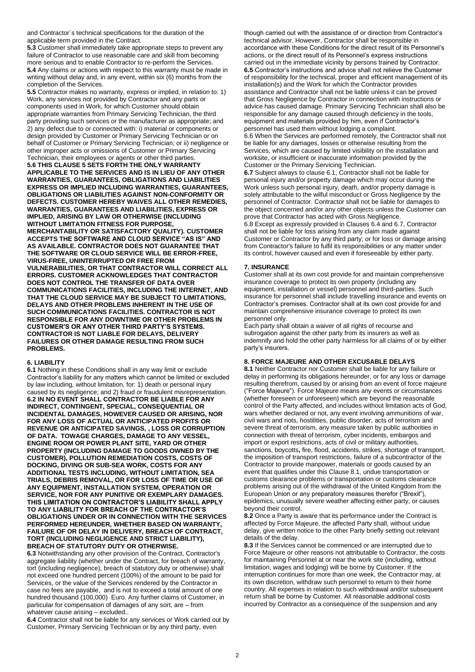and Contractor´s technical specifications for the duration of the applicable term provided in the Contract.

**5.3** Customer shall immediately take appropriate steps to prevent any failure of Contractor to use reasonable care and skill from becoming more serious and to enable Contractor to re-perform the Services. **5.4** Any claims or actions with respect to this warranty must be made in writing without delay and, in any event, within six (6) months from the completion of the Services.

**5.5** Contractor makes no warranty, express or implied, in relation to: 1) Work, any services not provided by Contractor and any parts or components used in Work, for which Customer should obtain appropriate warranties from Primary Servicing Technician, the third party providing such services or the manufacturer as appropriate; and 2) any defect due to or connected with: i) material or components or design provided by Customer or Primary Servicing Technician or on behalf of Customer or Primary Servicing Technician; or ii) negligence or other improper acts or omissions of Customer or Primary Servicing Technician, their employees or agents or other third parties.

**5.6 THIS CLAUSE 5 SETS FORTH THE ONLY WARRANTY APPLICABLE TO THE SERVICES AND IS IN LIEU OF ANY OTHER WARRANTIES, GUARANTEES, OBLIGATIONS AND LIABILITIES EXPRESS OR IMPLIED INCLUDING WARRANTIES, GUARANTEES, OBLIGATIONS OR LIABILITIES AGAINST NON-CONFORMITY OR DEFECTS. CUSTOMER HEREBY WAIVES ALL OTHER REMEDIES, WARRANTIES, GUARANTEES AND LIABILITIES, EXPRESS OR IMPLIED, ARISING BY LAW OR OTHERWISE (INCLUDING WITHOUT LIMITATION FITNESS FOR PURPOSE, MERCHANTABILITY OR SATISFACTORY QUALITY). CUSTOMER ACCEPTS THE SOFTWARE AND CLOUD SERVICE "AS IS" AND AS AVAILABLE. CONTRACTOR DOES NOT GUARANTEE THAT THE SOFTWARE OR CLOUD SERVICE WILL BE ERROR-FREE, VIRUS-FREE, UNINTERRUPTED OR FREE FROM VULNERABILITIES, OR THAT CONTRACTOR WILL CORRECT ALL ERRORS. CUSTOMER ACKNOWLEDGES THAT CONTRACTOR DOES NOT CONTROL THE TRANSFER OF DATA OVER COMMUNICATIONS FACILITIES, INCLUDING THE INTERNET, AND THAT THE CLOUD SERVICE MAY BE SUBJECT TO LIMITATIONS, DELAYS AND OTHER PROBLEMS INHERENT IN THE USE OF SUCH COMMUNICATIONS FACILITIES. CONTRACTOR IS NOT RESPONSIBLE FOR ANY DOWNTIME OR OTHER PROBLEMS IN CUSTOMER'S OR ANY OTHER THIRD PARTY'S SYSTEMS. CONTRACTOR IS NOT LIABLE FOR DELAYS, DELIVERY FAILURES OR OTHER DAMAGE RESULTING FROM SUCH PROBLEMS.**

#### **6. LIABILITY**

**6.1** Nothing in these Conditions shall in any way limit or exclude Contractor's liability for any matters which cannot be limited or excluded by law including, without limitation, for: 1) death or personal injury caused by its negligence; and 2) fraud or fraudulent misrepresentation. **6.2 IN NO EVENT SHALL CONTRACTOR BE LIABLE FOR ANY INDIRECT, CONTINGENT, SPECIAL, CONSEQUENTIAL OR INCIDENTAL DAMAGES, HOWEVER CAUSED OR ARISING, NOR FOR ANY LOSS OF ACTUAL OR ANTICIPATED PROFITS OR REVENUE OR ANTICIPATED SAVINGS, , LOSS OR CORRUPTION OF DATA. TOWAGE CHARGES, DAMAGE TO ANY VESSEL, ENGINE ROOM OR POWER PLANT SITE, YARD OR OTHER PROPERTY (INCLUDING DAMAGE TO GOODS OWNED BY THE CUSTOMER), POLLUTION REMEDIATION COSTS, COSTS OF DOCKING, DIVING OR SUB-SEA WORK, COSTS FOR ANY ADDITIONAL TESTS INCLUDING, WITHOUT LIMITATION, SEA TRIALS, DEBRIS REMOVAL, OR FOR LOSS OF TIME OR USE OF ANY EQUIPMENT, INSTALLATION SYSTEM, OPERATION OR SERVICE, NOR FOR ANY PUNITIVE OR EXEMPLARY DAMAGES. THIS LIMITATION ON CONTRACTOR'S LIABILITY SHALL APPLY TO ANY LIABILITY FOR BREACH OF THE CONTRACTOR'S OBLIGATIONS UNDER OR IN CONNECTION WITH THE SERVICES PERFORMED HEREUNDER, WHETHER BASED ON WARRANTY, FAILURE OF OR DELAY IN DELIVERY, BREACH OF CONTRACT, TORT (INCLUDING NEGLIGENCE AND STRICT LIABILITY), BREACH OF STATUTORY DUTY OR OTHERWISE.**

**6.3** Notwithstanding any other provision of the Contract, Contractor's aggregate liability (whether under the Contract, for breach of warranty, tort (including negligence), breach of statutory duty or otherwise) shall not exceed one hundred percent (100%) of the amount to be paid for Services, or the value of the Services rendered by the Contractor in case no fees are payable, and is not to exceed a total amount of one hundred thousand (100,000) Euro. Any further claims of Customer, in particular for compensation of damages of any sort, are – from whatever cause arising - excluded.

**6.4** Contractor shall not be liable for any services or Work carried out by Customer, Primary Servicing Technician or by any third party, even

though carried out with the assistance of or direction from Contractor's technical advisor. However, Contractor shall be responsible in accordance with these Conditions for the direct result of its Personnel's actions, or the direct result of its Personnel's express instructions carried out in the immediate vicinity by persons trained by Contractor. **6.5** Contractor's instructions and advice shall not relieve the Customer of responsibility for the technical, proper and efficient management of its installation(s) and the Work for which the Contractor provides assistance and Contractor shall not be liable unless it can be proved that Gross Negligence by Contractor in connection with instructions or advice has caused damage. Primary Servicing Technician shall also be responsible for any damage caused through deficiency in the tools, equipment and materials provided by him, even if Contractor's personnel has used them without lodging a complaint. 6.6 When the Services are performed remotely, the Contractor shall not

be liable for any damages, losses or otherwise resulting from the Services, which are caused by limited visibility on the installation and worksite, or insufficient or inaccurate information provided by the Customer or the Primary Servicing Technician.

**6.7** Subject always to clause 6.1, Contractor shall not be liable for personal injury and/or property damage which may occur during the Work unless such personal injury, death, and/or property damage is solely attributable to the wilful misconduct or Gross Negligence by the personnel of Contractor. Contractor shall not be liable for damages to the object concerned and/or any other objects unless the Customer can prove that Contractor has acted with Gross Negligence. 6.8 Except as expressly provided in Clauses 6.4 and 6.7, Contractor shall not be liable for loss arising from any claim made against Customer or Contractor by any third party; or for loss or damage arising from Contractor's failure to fulfil its responsibilities or any matter under its control, however caused and even if foreseeable by either party.

#### **7. INSURANCE**

Customer shall at its own cost provide for and maintain comprehensive insurance coverage to protect its own property (including any equipment, installation or vessel) personnel and third-parties. Such insurance for personnel shall include travelling insurance and events on Contractor's premises. Contractor shall at its own cost provide for and maintain comprehensive insurance coverage to protect its own personnel only.

Each party shall obtain a waiver of all rights of recourse and subrogation against the other party from its insurers as well as indemnify and hold the other party harmless for all claims of or by either party's insurers.

# **8. FORCE MAJEURE AND OTHER EXCUSABLE DELAYS**

**8.1** Neither Contractor nor Customer shall be liable for any failure or delay in performing its obligations hereunder, or for any loss or damage resulting therefrom, caused by or arising from an event of force majeure ("Force Majeure"). Force Majeure means any events or circumstances (whether foreseen or unforeseen) which are beyond the reasonable control of the Party affected, and includes without limitation acts of God, wars whether declared or not, any event involving ammunitions of war, civil wars and riots, hostilities, public disorder, acts of terrorism and severe threat of terrorism, any measure taken by public authorities in connection with threat of terrorism, cyber incidents, embargos and import or export restrictions, acts of civil or military authorities, sanctions, boycotts**,** fire, flood, accidents, strikes, shortage of transport, the imposition of transport restrictions, failure of a subcontractor of the Contractor to provide manpower, materials or goods caused by an event that qualifies under this Clause 8.1, undue transportation or customs clearance problems or transportation or customs clearance problems arising out of the withdrawal of the United Kingdom from the European Union or any preparatory measures therefor ("Brexit"), epidemics, unusually severe weather affecting either party, or causes beyond their control.

**8.2** Once a Party is aware that its performance under the Contract is affected by Force Majeure, the affected Party shall, without undue delay, give written notice to the other Party briefly setting out relevant details of the delay.

**8.3** If the Services cannot be commenced or are interrupted due to Force Majeure or other reasons not attributable to Contractor, the costs for maintaining Personnel at or near the work site (including, without limitation, wages and lodging) will be borne by Customer. If the interruption continues for more than one week, the Contractor may, at its own discretion, withdraw such personnel to return to their home country. All expenses in relation to such withdrawal and/or subsequent return shall be borne by Customer. All reasonable additional costs incurred by Contractor as a consequence of the suspension and any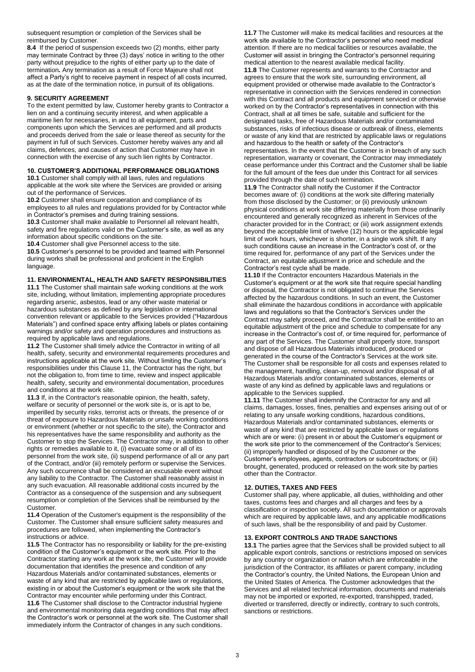subsequent resumption or completion of the Services shall be reimbursed by Customer.

**8.4** If the period of suspension exceeds two (2) months, either party may terminate Contract by three (3) days' notice in writing to the other party without prejudice to the rights of either party up to the date of termination**.** Any termination as a result of Force Majeure shall not affect a Party's right to receive payment in respect of all costs incurred, as at the date of the termination notice, in pursuit of its obligations.

# **9. SECURITY AGREEMENT**

To the extent permitted by law, Customer hereby grants to Contractor a lien on and a continuing security interest, and when applicable a maritime lien for necessaries, in and to all equipment, parts and components upon which the Services are performed and all products and proceeds derived from the sale or lease thereof as security for the payment in full of such Services. Customer hereby waives any and all claims, defences, and causes of action that Customer may have in connection with the exercise of any such lien rights by Contractor.

# **10. CUSTOMER'S ADDITIONAL PERFORMANCE OBLIGATIONS**

**10.1** Customer shall comply with all laws, rules and regulations applicable at the work site where the Services are provided or arising out of the performance of Services.

**10.2** Customer shall ensure cooperation and compliance of its employees to all rules and regulations provided for by Contractor while in Contractor's premises and during training sessions.

**10.3** Customer shall make available to Personnel all relevant health, safety and fire regulations valid on the Customer's site, as well as any information about specific conditions on the site.

**10.4** Customer shall give Personnel access to the site.

**10.5** Customer's personnel to be provided and teamed with Personnel during works shall be professional and proficient in the English language.

## **11. ENVIRONMENTAL, HEALTH AND SAFETY RESPONSIBILITIES**

**11.1** The Customer shall maintain safe working conditions at the work site, including, without limitation, implementing appropriate procedures regarding arsenic, asbestos, lead or any other waste material or hazardous substances as defined by any legislation or international convention relevant or applicable to the Services provided ("Hazardous Materials") and confined space entry affixing labels or plates containing warnings and/or safety and operation procedures and instructions as required by applicable laws and regulations.

**11.2** The Customer shall timely advice the Contractor in writing of all health, safety, security and environmental requirements procedures and instructions applicable at the work site. Without limiting the Customer's responsibilities under this Clause 11, the Contractor has the right, but not the obligation to, from time to time, review and inspect applicable health, safety, security and environmental documentation, procedures and conditions at the work site.

**11.3** If, in the Contractor's reasonable opinion, the health, safety, welfare or security of personnel or the work site is, or is apt to be, imperilled by security risks, terrorist acts or threats, the presence of or threat of exposure to Hazardous Materials or unsafe working conditions or environment (whether or not specific to the site), the Contractor and his representatives have the same responsibility and authority as the Customer to stop the Services. The Contractor may, in addition to other rights or remedies available to it, (i) evacuate some or all of its personnel from the work site, (ii) suspend performance of all or any part of the Contract, and/or (iii) remotely perform or supervise the Services. Any such occurrence shall be considered an excusable event without any liability to the Contractor. The Customer shall reasonably assist in any such evacuation. All reasonable additional costs incurred by the Contractor as a consequence of the suspension and any subsequent resumption or completion of the Services shall be reimbursed by the Customer.

**11.4** Operation of the Customer's equipment is the responsibility of the Customer. The Customer shall ensure sufficient safety measures and procedures are followed, when implementing the Contractor's instructions or advice.

**11.5** The Contractor has no responsibility or liability for the pre-existing condition of the Customer's equipment or the work site. Prior to the Contractor starting any work at the work site, the Customer will provide documentation that identifies the presence and condition of any Hazardous Materials and/or contaminated substances, elements or waste of any kind that are restricted by applicable laws or regulations, existing in or about the Customer's equipment or the work site that the Contractor may encounter while performing under this Contract. **11.6** The Customer shall disclose to the Contractor industrial hygiene and environmental monitoring data regarding conditions that may affect the Contractor's work or personnel at the work site. The Customer shall immediately inform the Contractor of changes in any such conditions.

**11.7** The Customer will make its medical facilities and resources at the work site available to the Contractor's personnel who need medical attention. If there are no medical facilities or resources available, the Customer will assist in bringing the Contractor's personnel requiring medical attention to the nearest available medical facility. **11.8** The Customer represents and warrants to the Contractor and agrees to ensure that the work site, surrounding environment, all equipment provided or otherwise made available to the Contractor's representative in connection with the Services rendered in connection with this Contract and all products and equipment serviced or otherwise worked on by the Contractor's representatives in connection with this Contract, shall at all times be safe, suitable and sufficient for the designated tasks, free of Hazardous Materials and/or contaminated substances, risks of infectious disease or outbreak of illness, elements or waste of any kind that are restricted by applicable laws or regulations and hazardous to the health or safety of the Contractor's representatives. In the event that the Customer is in breach of any such representation, warranty or covenant, the Contractor may immediately cease performance under this Contract and the Customer shall be liable for the full amount of the fees due under this Contract for all services provided through the date of such termination.

**11.9** The Contractor shall notify the Customer if the Contractor becomes aware of: (i) conditions at the work site differing materially from those disclosed by the Customer; or (ii) previously unknown physical conditions at work site differing materially from those ordinarily encountered and generally recognized as inherent in Services of the character provided for in the Contract; or (iii) work assignment extends beyond the acceptable limit of twelve (12) hours or the applicable legal limit of work hours, whichever is shorter, in a single work shift. If any such conditions cause an increase in the Contractor's cost of, or the time required for, performance of any part of the Services under the Contract, an equitable adjustment in price and schedule and the Contractor's rest cycle shall be made.

**11.10** If the Contractor encounters Hazardous Materials in the Customer's equipment or at the work site that require special handling or disposal, the Contractor is not obligated to continue the Services affected by the hazardous conditions. In such an event, the Customer shall eliminate the hazardous conditions in accordance with applicable laws and regulations so that the Contractor's Services under the Contract may safely proceed, and the Contractor shall be entitled to an equitable adjustment of the price and schedule to compensate for any increase in the Contractor's cost of, or time required for, performance of any part of the Services. The Customer shall properly store, transport and dispose of all Hazardous Materials introduced, produced or generated in the course of the Contractor's Services at the work site. The Customer shall be responsible for all costs and expenses related to the management, handling, clean-up, removal and/or disposal of all Hazardous Materials and/or contaminated substances, elements or waste of any kind as defined by applicable laws and regulations or applicable to the Services supplied.

**11.11** The Customer shall indemnify the Contractor for any and all claims, damages, losses, fines, penalties and expenses arising out of or relating to any unsafe working conditions, hazardous conditions, Hazardous Materials and/or contaminated substances, elements or waste of any kind that are restricted by applicable laws or regulations which are or were: (i) present in or about the Customer's equipment or the work site prior to the commencement of the Contractor's Services; (ii) improperly handled or disposed of by the Customer or the Customer's employees, agents, contractors or subcontractors; or (iii) brought, generated, produced or released on the work site by parties other than the Contractor.

## **12. DUTIES, TAXES AND FEES**

Customer shall pay, where applicable, all duties, withholding and other taxes, customs fees and charges and all charges and fees by a classification or inspection society. All such documentation or approvals which are required by applicable laws, and any applicable modifications of such laws, shall be the responsibility of and paid by Customer.

#### **13. EXPORT CONTROLS AND TRADE SANCTIONS**

**13.1** The parties agree that the Services shall be provided subject to all applicable export controls, sanctions or restrictions imposed on services by any country or organization or nation which are enforceable in the jurisdiction of the Contractor, its affiliates or parent company, including the Contractor's country, the United Nations, the European Union and the United States of America. The Customer acknowledges that the Services and all related technical information, documents and materials may not be imported or exported, re-exported, transhipped, traded, diverted or transferred, directly or indirectly, contrary to such controls, sanctions or restrictions.